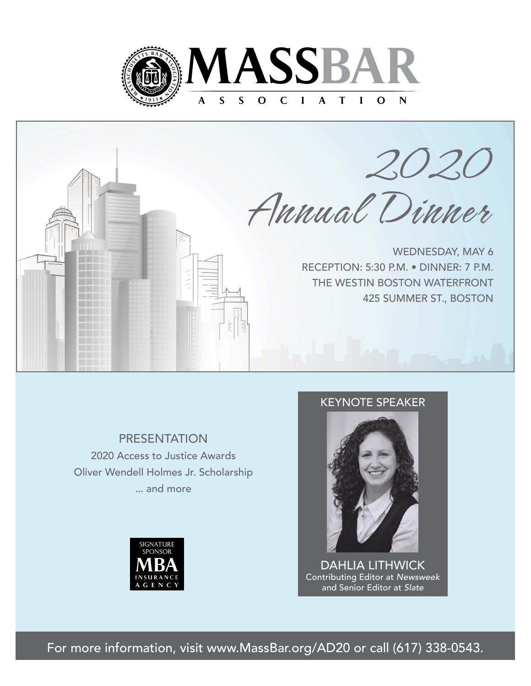



**PRESENTATION** 2020 Access to Justice Awards

Oliver Wendell Holmes Jr. Scholarship ... and more



## KEYNOTE SPEAKER



DAHLIA LITHWICK Contributing Editor at *Newsweek*  and Senior Editor at *Slate*

For more information, visit www.MassBar.org/AD20 or call (617) 338-0543.